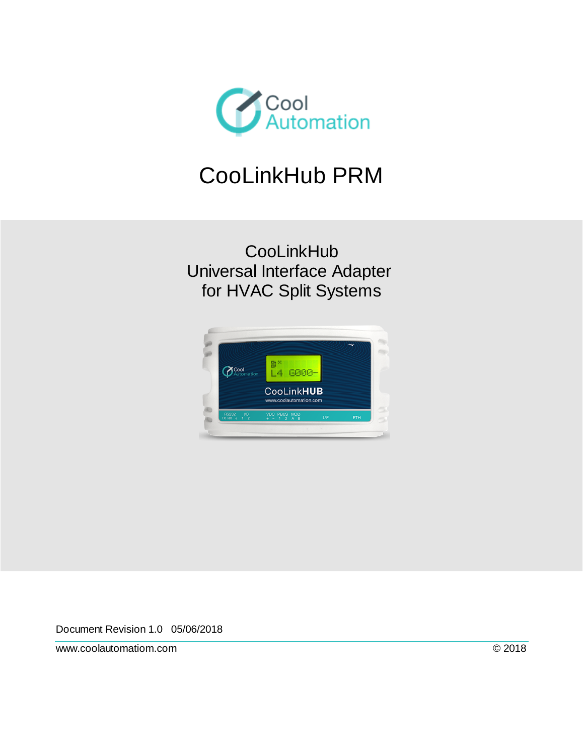

# CooLinkHub PRM

**CooLinkHub** Universal Interface Adapter for HVAC Split Systems



Document Revision 1.0 05/06/2018

www.coolautomatiom.com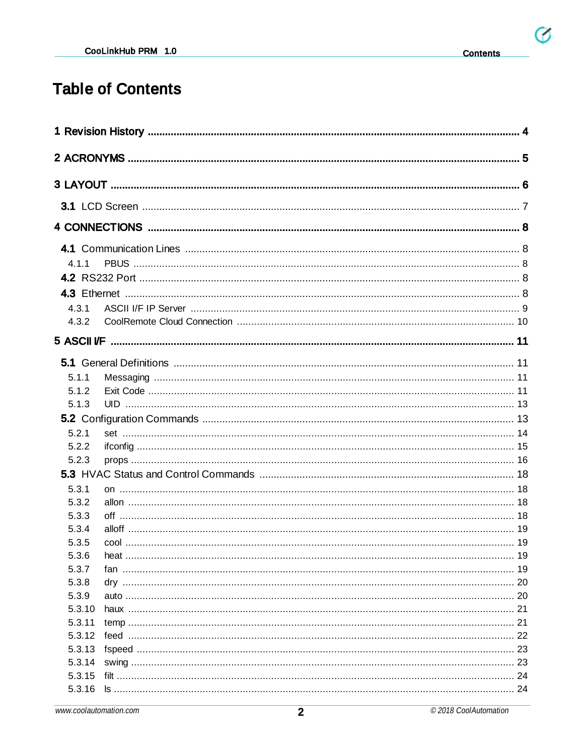$\mathfrak{G}$ 

## **Table of Contents**

| 4.1.1            |  |  |
|------------------|--|--|
|                  |  |  |
|                  |  |  |
| 4.3.1            |  |  |
| 4.3.2            |  |  |
|                  |  |  |
|                  |  |  |
| 5.1.1            |  |  |
| 5.1.2            |  |  |
| 5.1.3            |  |  |
|                  |  |  |
| 5.2.1            |  |  |
| 5.2.2            |  |  |
| 5.2.3            |  |  |
|                  |  |  |
| 5.3.1            |  |  |
| 5.3.2            |  |  |
| 5.3.3            |  |  |
| 5.3.4            |  |  |
| 5.3.5            |  |  |
| 5.3.6            |  |  |
| 5.3.7            |  |  |
| 5.3.8            |  |  |
| 5.3.9            |  |  |
| 5.3.10           |  |  |
| 5.3.11           |  |  |
| 5.3.12<br>5.3.13 |  |  |
| 5.3.14           |  |  |
| 5.3.15           |  |  |
| 5.3.16           |  |  |
|                  |  |  |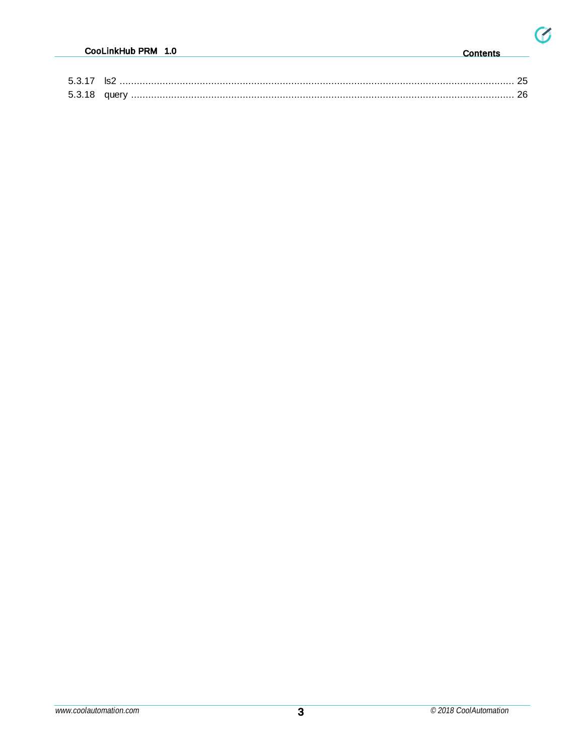$\mathfrak{G}$ 

| 5.3.17 |  |
|--------|--|
| 5.3.18 |  |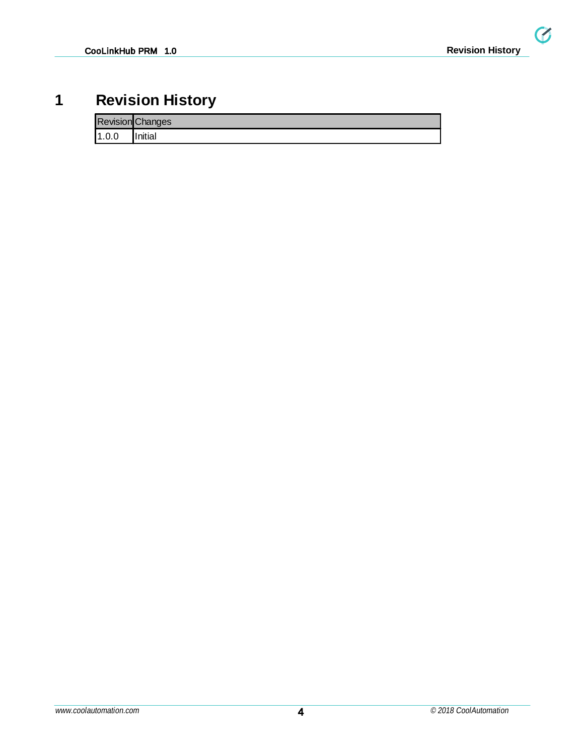$\overline{G}$ 

## <span id="page-3-0"></span>**1 Revision History**

|       | <b>Revision Changes</b> |
|-------|-------------------------|
| 1.0.0 | Initial                 |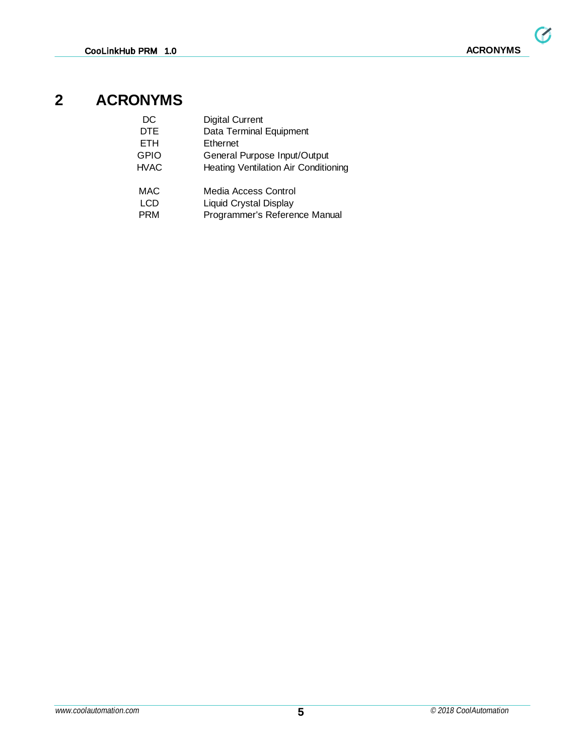## <span id="page-4-0"></span>**2 ACRONYMS**

| DC          | <b>Digital Current</b>                      |
|-------------|---------------------------------------------|
| <b>DTE</b>  | Data Terminal Equipment                     |
| <b>ETH</b>  | Ethernet                                    |
| <b>GPIO</b> | General Purpose Input/Output                |
| HVAC        | <b>Heating Ventilation Air Conditioning</b> |
| <b>MAC</b>  | Media Access Control                        |
| <b>LCD</b>  | Liquid Crystal Display                      |
| <b>PRM</b>  | Programmer's Reference Manual               |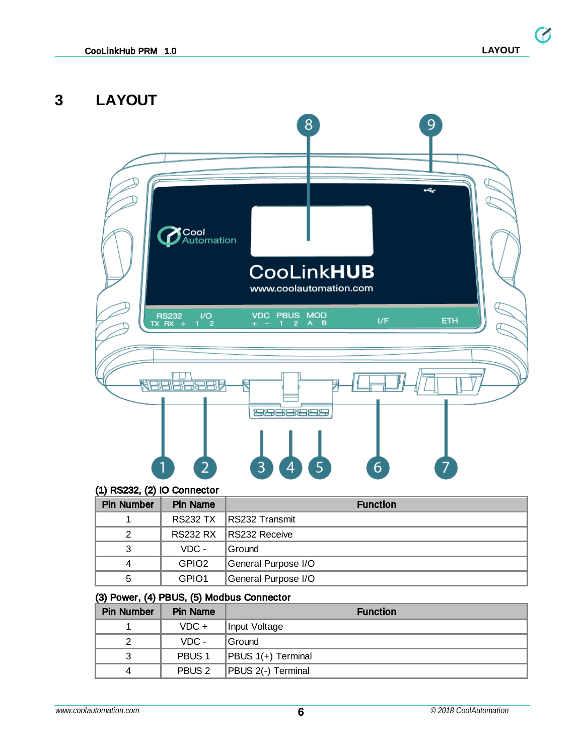$\bullet$ 

## <span id="page-5-0"></span>**3 LAYOUT**



#### (1) RS232, (2) IO Connector

| <b>Pin Number</b> | <b>Pin Name</b>   | <b>Function</b>         |  |  |  |
|-------------------|-------------------|-------------------------|--|--|--|
|                   |                   | RS232 TX RS232 Transmit |  |  |  |
|                   |                   | RS232 RX RS232 Receive  |  |  |  |
| 3                 | $VDC -$           | <b>Ground</b>           |  |  |  |
| 4                 | GPIO <sub>2</sub> | General Purpose I/O     |  |  |  |
| 5                 | GPIO1             | General Purpose I/O     |  |  |  |

#### (3) Power, (4) PBUS, (5) Modbus Connector

| <b>Pin Number</b> | <b>Pin Name</b>   | <b>Function</b>    |  |  |
|-------------------|-------------------|--------------------|--|--|
|                   | $VDC +$           | Input Voltage      |  |  |
| 2                 | $VDC -$           | Ground             |  |  |
| 3                 | PBUS <sub>1</sub> | PBUS 1(+) Terminal |  |  |
| 4                 | PBUS <sub>2</sub> | PBUS 2(-) Terminal |  |  |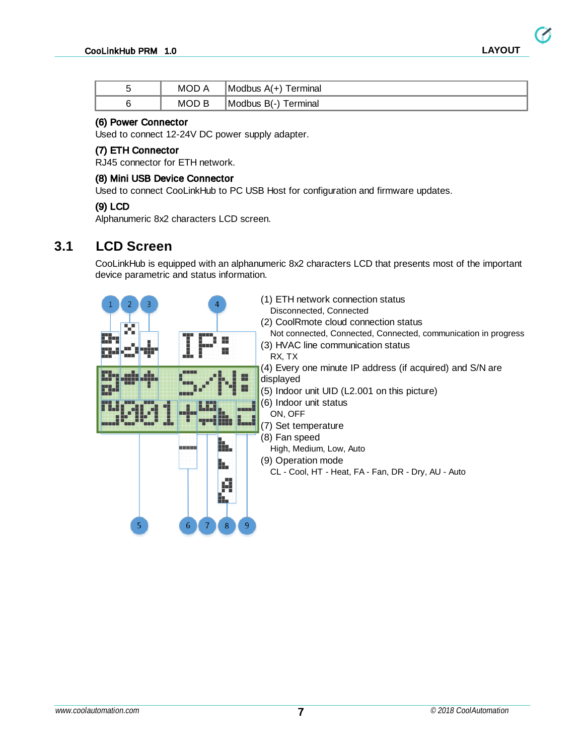Z

| MOD/  | Modbus A(+) Terminal |
|-------|----------------------|
| MOD B | Modbus B(-) Terminal |

#### (6) Power Connector

Used to connect 12-24V DC power supply adapter.

#### (7) ETH Connector

RJ45 connector for ETH network.

#### (8) Mini USB Device Connector

Used to connect CooLinkHub to PC USB Host for configuration and firmware updates.

#### (9) LCD

Alphanumeric 8x2 characters LCD screen.

### <span id="page-6-0"></span>**3.1 LCD Screen**

CooLinkHub is equipped with an alphanumeric 8x2 characters LCD that presents most of the important device parametric and status information.

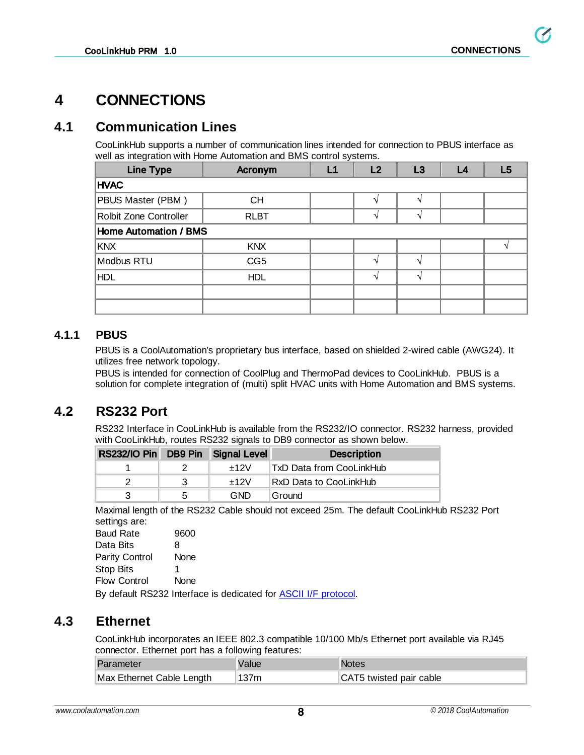**G** 

## <span id="page-7-0"></span>**4 CONNECTIONS**

## <span id="page-7-1"></span>**4.1 Communication Lines**

CooLinkHub supports a number of communication lines intended for connection to PBUS interface as well as integration with Home Automation and BMS control systems.

| <b>Line Type</b>             | Acronym         | L1 | L2       | L3 | L4 | L <sub>5</sub> |
|------------------------------|-----------------|----|----------|----|----|----------------|
| <b>HVAC</b>                  |                 |    |          |    |    |                |
| PBUS Master (PBM)            | <b>CH</b>       |    |          |    |    |                |
| Rolbit Zone Controller       | <b>RLBT</b>     |    |          |    |    |                |
| <b>Home Automation / BMS</b> |                 |    |          |    |    |                |
| <b>KNX</b>                   | <b>KNX</b>      |    |          |    |    |                |
| Modbus RTU                   | CG <sub>5</sub> |    |          |    |    |                |
| HDL                          | <b>HDL</b>      |    | $\Delta$ |    |    |                |
|                              |                 |    |          |    |    |                |
|                              |                 |    |          |    |    |                |

#### <span id="page-7-2"></span>**4.1.1 PBUS**

PBUS is a CoolAutomation's proprietary bus interface, based on shielded 2-wired cable (AWG24). It utilizes free network topology.

PBUS is intended for connection of CoolPlug and ThermoPad devices to CooLinkHub. PBUS is a solution for complete integration of (multi) split HVAC units with Home Automation and BMS systems.

### <span id="page-7-3"></span>**4.2 RS232 Port**

RS232 Interface in CooLinkHub is available from the RS232/IO connector. RS232 harness, provided with CooLinkHub, routes RS232 signals to DB9 connector as shown below.

| RS232/IO Pin DB9 Pin Signal Level |              |        | <b>Description</b>        |
|-----------------------------------|--------------|--------|---------------------------|
|                                   |              | $+12V$ | ⊺TxD Data from CooLinkHub |
|                                   | -3           | $+12V$ | RxD Data to CooLinkHub    |
| 3                                 | $\mathbf{b}$ | GND    | Ground                    |

Maximal length of the RS232 Cable should not exceed 25m. The default CooLinkHub RS232 Port settings are:

| <b>Baud Rate</b>         | 9600 |
|--------------------------|------|
| Data Bits                | 8    |
| <b>Parity Control</b>    | None |
| <b>Stop Bits</b>         | 1    |
| <b>Flow Control</b>      | None |
| <b>DUCED DOOOO</b> LILLE |      |

By default RS232 Interface is dedicated for ASCII I/F [protocol.](#page-10-0)

### <span id="page-7-4"></span>**4.3 Ethernet**

CooLinkHub incorporates an IEEE 802.3 compatible 10/100 Mb/s Ethernet port available via RJ45 connector. Ethernet port has a following features:

| Parameter                 | Value | Notes <sup>®</sup>      |
|---------------------------|-------|-------------------------|
| Max Ethernet Cable Length | 137m  | CAT5 twisted pair cable |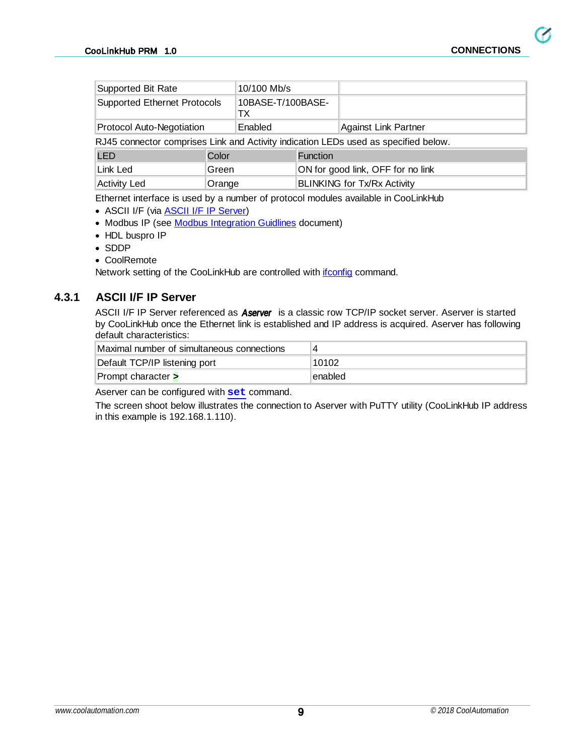$\boldsymbol{G}$ 

| <b>Supported Bit Rate</b>                                                           |         | 10/100 Mb/s              |                                   |                                    |  |
|-------------------------------------------------------------------------------------|---------|--------------------------|-----------------------------------|------------------------------------|--|
| <b>Supported Ethernet Protocols</b>                                                 |         | 10BASE-T/100BASE-<br>TX. |                                   |                                    |  |
| Protocol Auto-Negotiation                                                           | Enabled |                          | <b>Against Link Partner</b>       |                                    |  |
| RJ45 connector comprises Link and Activity indication LEDs used as specified below. |         |                          |                                   |                                    |  |
| <b>LED</b><br>Color                                                                 |         | <b>Function</b>          |                                   |                                    |  |
| Link Led<br>Green                                                                   |         |                          | ON for good link, OFF for no link |                                    |  |
| <b>Activity Led</b><br>Orange                                                       |         |                          |                                   | <b>BLINKING for Tx/Rx Activity</b> |  |

Ethernet interface is used by a number of protocol modules available in CooLinkHub

- · ASCII I/F (via ASCII I/F IP [Server](#page-8-0))
- Modbus IP (see Modbus [Integration](http://coolautomation.com/lib/doc/manual/Modbus-guidelines.pdf) Guidlines document)
- HDL buspro IP
- · SDDP
- · CoolRemote

Network setting of the CooLinkHub are controlled with *[ifconfig](#page-14-0)* command.

#### <span id="page-8-0"></span>**4.3.1 ASCII I/F IP Server**

ASCII I/F IP Server referenced as **Aserver** is a classic row TCP/IP socket server. Aserver is started by CooLinkHub once the Ethernet link is established and IP address is acquired. Aserver has following default characteristics:

| Maximal number of simultaneous connections | 4       |
|--------------------------------------------|---------|
| Default TCP/IP listening port              | 10102   |
| Prompt character >                         | enabled |

Aserver can be configured with **[set](#page-13-0)** command.

The screen shoot below illustrates the connection to Aserver with PuTTY utility (CooLinkHub IP address in this example is 192.168.1.110).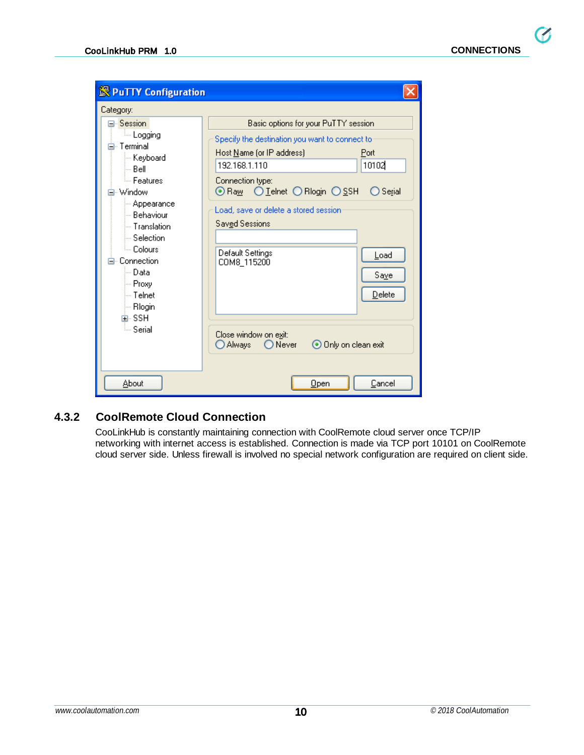$\boldsymbol{G}$ 

| <b>S</b> PuTTY Configuration                                                                                                                                                                                                                                            |                                                                                                                                                                                                                                                                                                                                                                                                                                             |
|-------------------------------------------------------------------------------------------------------------------------------------------------------------------------------------------------------------------------------------------------------------------------|---------------------------------------------------------------------------------------------------------------------------------------------------------------------------------------------------------------------------------------------------------------------------------------------------------------------------------------------------------------------------------------------------------------------------------------------|
| Category:                                                                                                                                                                                                                                                               |                                                                                                                                                                                                                                                                                                                                                                                                                                             |
| Session<br>ille Logging<br>⊟⊹ Terminal.<br>— Keyboard<br>l— Bell<br>≔ Features<br>Window<br>⊱ Appearance:<br>≔ Behaviour<br>i Translation<br>— Selection<br><sup>i…</sup> Colours<br>Connection<br>l— Datal<br>i— Proxy<br>l— Telnet<br>∣— Rlogin<br>⊞- SSH<br>ं Serial | Basic options for your PuTTY session<br>Specify the destination you want to connect to<br>Host Name (or IP address)<br>Port<br>10102<br>192.168.1.110<br>Connection type:<br>⊙ Raw O Leinet O Riogin O SSH<br>Serial<br>Load, save or delete a stored session<br>Sav <u>e</u> d Sessions<br>Default Settings<br>Load<br>COM8_115200<br>Saye<br>Delete<br>Close window on exit:<br>⊙ Only on clean exit<br><b>Always</b><br>$\bigcirc$ Never |
| About                                                                                                                                                                                                                                                                   | Open<br>Cancel                                                                                                                                                                                                                                                                                                                                                                                                                              |

### <span id="page-9-0"></span>**4.3.2 CoolRemote Cloud Connection**

CooLinkHub is constantly maintaining connection with CoolRemote cloud server once TCP/IP networking with internet access is established. Connection is made via TCP port 10101 on CoolRemote cloud server side. Unless firewall is involved no special network configuration are required on client side.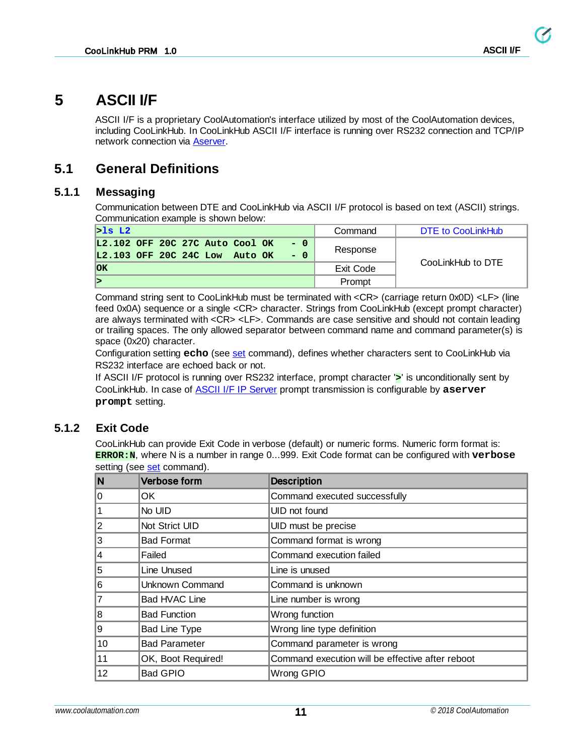## <span id="page-10-0"></span>**5 ASCII I/F**

ASCII I/F is a proprietary CoolAutomation's interface utilized by most of the CoolAutomation devices, including CooLinkHub. In CooLinkHub ASCII I/F interface is running over RS232 connection and TCP/IP network connection via [Aserver.](#page-8-0)

## <span id="page-10-1"></span>**5.1 General Definitions**

#### <span id="page-10-2"></span>**5.1.1 Messaging**

Communication between DTE and CooLinkHub via ASCII I/F protocol is based on text (ASCII) strings. Communication example is shown below:

| $>$ ls L2                                                                          | Command   | DTE to CooLinkHub |
|------------------------------------------------------------------------------------|-----------|-------------------|
| L2.102 OFF 20C 27C Auto Cool OK<br>$- 0$<br>L2.103 OFF 20C 24C Low Auto OK<br>$-0$ | Response  |                   |
| <b>OK</b>                                                                          | Exit Code | CooLinkHub to DTE |
|                                                                                    | Prompt    |                   |

Command string sent to CooLinkHub must be terminated with <CR> (carriage return 0x0D) <LF> (line feed 0x0A) sequence or a single <CR> character. Strings from CooLinkHub (except prompt character) are always terminated with <CR> <LF>. Commands are case sensitive and should not contain leading or trailing spaces. The only allowed separator between command name and command parameter(s) is space (0x20) character.

Configuration setting **echo** (see [set](#page-13-0) command), defines whether characters sent to CooLinkHub via RS232 interface are echoed back or not.

If ASCII I/F protocol is running over RS232 interface, prompt character '**>**' is unconditionally sent by CooLinkHub. In case of ASCII I/F IP [Server](#page-8-0) prompt transmission is configurable by **aserver prompt** setting.

#### <span id="page-10-3"></span>**5.1.2 Exit Code**

CooLinkHub can provide Exit Code in verbose (default) or numeric forms. Numeric form format is: **ERROR:N**, where N is a number in range 0...999. Exit Code format can be configured with **verbose** [set](#page-13-0)ting (see set command).

| N  | Verbose form         | <b>Description</b>                               |
|----|----------------------|--------------------------------------------------|
| 0  | OK.                  | Command executed successfully                    |
|    | No UID               | UID not found                                    |
| 2  | Not Strict UID       | UID must be precise                              |
| 3  | <b>Bad Format</b>    | Command format is wrong                          |
| 4  | Failed               | Command execution failed                         |
| 5  | <b>Line Unused</b>   | Line is unused                                   |
| 6  | Unknown Command      | Command is unknown                               |
|    | Bad HVAC Line        | Line number is wrong                             |
| 8  | <b>Bad Function</b>  | Wrong function                                   |
| 9  | <b>Bad Line Type</b> | Wrong line type definition                       |
| 10 | <b>Bad Parameter</b> | Command parameter is wrong                       |
| 11 | OK, Boot Required!   | Command execution will be effective after reboot |
| 12 | <b>Bad GPIO</b>      | Wrong GPIO                                       |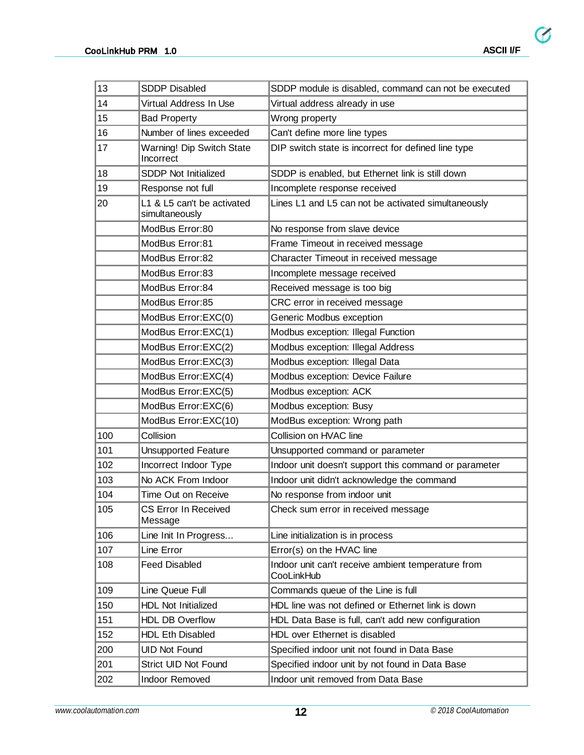| 13  | <b>SDDP Disabled</b>                         | SDDP module is disabled, command can not be executed             |
|-----|----------------------------------------------|------------------------------------------------------------------|
| 14  | Virtual Address In Use                       | Virtual address already in use                                   |
| 15  | <b>Bad Property</b>                          | Wrong property                                                   |
| 16  | Number of lines exceeded                     | Can't define more line types                                     |
| 17  | Warning! Dip Switch State<br>Incorrect       | DIP switch state is incorrect for defined line type              |
| 18  | <b>SDDP Not Initialized</b>                  | SDDP is enabled, but Ethernet link is still down                 |
| 19  | Response not full                            | Incomplete response received                                     |
| 20  | L1 & L5 can't be activated<br>simultaneously | Lines L1 and L5 can not be activated simultaneously              |
|     | ModBus Error:80                              | No response from slave device                                    |
|     | ModBus Error:81                              | Frame Timeout in received message                                |
|     | ModBus Error:82                              | Character Timeout in received message                            |
|     | ModBus Error:83                              | Incomplete message received                                      |
|     | ModBus Error:84                              | Received message is too big                                      |
|     | ModBus Error:85                              | CRC error in received message                                    |
|     | ModBus Error: EXC(0)                         | Generic Modbus exception                                         |
|     | ModBus Error: EXC(1)                         | Modbus exception: Illegal Function                               |
|     | ModBus Error: EXC(2)                         | Modbus exception: Illegal Address                                |
|     | ModBus Error: EXC(3)                         | Modbus exception: Illegal Data                                   |
|     | ModBus Error: EXC(4)                         | Modbus exception: Device Failure                                 |
|     | ModBus Error:EXC(5)                          | Modbus exception: ACK                                            |
|     | ModBus Error: EXC(6)                         | Modbus exception: Busy                                           |
|     | ModBus Error: EXC(10)                        | ModBus exception: Wrong path                                     |
| 100 | Collision                                    | Collision on HVAC line                                           |
| 101 | <b>Unsupported Feature</b>                   | Unsupported command or parameter                                 |
| 102 | Incorrect Indoor Type                        | Indoor unit doesn't support this command or parameter            |
| 103 | No ACK From Indoor                           | Indoor unit didn't acknowledge the command                       |
| 104 | Time Out on Receive                          | No response from indoor unit                                     |
| 105 | CS Error In Received<br>Message              | Check sum error in received message                              |
| 106 | Line Init In Progress                        | Line initialization is in process                                |
| 107 | Line Error                                   | Error(s) on the HVAC line                                        |
| 108 | <b>Feed Disabled</b>                         | Indoor unit can't receive ambient temperature from<br>CooLinkHub |
| 109 | Line Queue Full                              | Commands queue of the Line is full                               |
| 150 | <b>HDL Not Initialized</b>                   | HDL line was not defined or Ethernet link is down                |
| 151 | <b>HDL DB Overflow</b>                       | HDL Data Base is full, can't add new configuration               |
| 152 | <b>HDL Eth Disabled</b>                      | HDL over Ethernet is disabled                                    |
| 200 | <b>UID Not Found</b>                         | Specified indoor unit not found in Data Base                     |
| 201 | Strict UID Not Found                         | Specified indoor unit by not found in Data Base                  |
| 202 | <b>Indoor Removed</b>                        | Indoor unit removed from Data Base                               |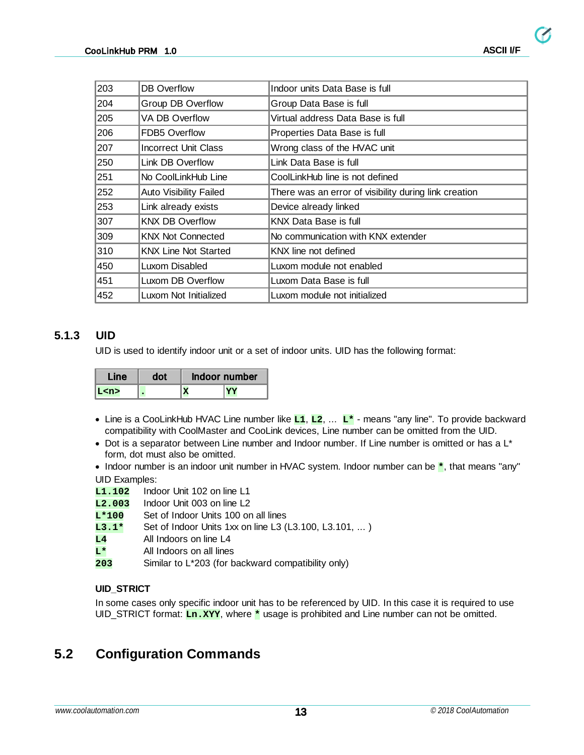$\boldsymbol{G}$ 

| 203 | DB Overflow                   | Indoor units Data Base is full                        |
|-----|-------------------------------|-------------------------------------------------------|
| 204 | Group DB Overflow             | Group Data Base is full                               |
| 205 | VA DB Overflow                | Virtual address Data Base is full                     |
| 206 | <b>FDB5 Overflow</b>          | Properties Data Base is full                          |
| 207 | Incorrect Unit Class          | Wrong class of the HVAC unit                          |
| 250 | Link DB Overflow              | Link Data Base is full                                |
| 251 | No CoolLinkHub Line           | CoolLinkHub line is not defined                       |
| 252 | <b>Auto Visibility Failed</b> | There was an error of visibility during link creation |
| 253 | Link already exists           | Device already linked                                 |
| 307 | <b>KNX DB Overflow</b>        | <b>KNX Data Base is full</b>                          |
| 309 | <b>KNX Not Connected</b>      | No communication with KNX extender                    |
| 310 | <b>KNX Line Not Started</b>   | KNX line not defined                                  |
| 450 | Luxom Disabled                | Luxom module not enabled                              |
| 451 | Luxom DB Overflow             | Luxom Data Base is full                               |
| 452 | Luxom Not Initialized         | Luxom module not initialized                          |

#### <span id="page-12-0"></span>**5.1.3 UID**

UID is used to identify indoor unit or a set of indoor units. UID has the following format:

| Line |  | Indoor number |
|------|--|---------------|
|      |  |               |

- · Line is a CooLinkHub HVAC Line number like **L1**, **L2**, ... **L\*** means "any line". To provide backward compatibility with CoolMaster and CooLink devices, Line number can be omitted from the UID.
- · Dot is a separator between Line number and Indoor number. If Line number is omitted or has a L\* form, dot must also be omitted.
- · Indoor number is an indoor unit number in HVAC system. Indoor number can be **\***, that means "any" UID Examples:
- **L1.102** Indoor Unit 102 on line L1
- **L2.003** Indoor Unit 003 on line L2
- **L\*100** Set of Indoor Units 100 on all lines
- **L3.1\*** Set of Indoor Units 1xx on line L3 (L3.100, L3.101, ... )
- **L4** All Indoors on line L4
- **L\*** All Indoors on all lines
- **203** Similar to L\*203 (for backward compatibility only)

#### **UID\_STRICT**

In some cases only specific indoor unit has to be referenced by UID. In this case it is required to use UID\_STRICT format: **Ln.XYY**, where **\*** usage is prohibited and Line number can not be omitted.

## <span id="page-12-1"></span>**5.2 Configuration Commands**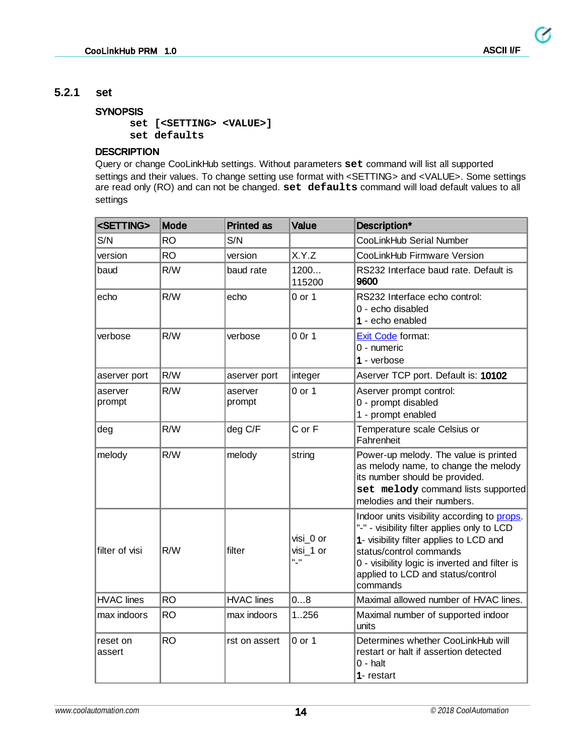#### <span id="page-13-0"></span>**5.2.1 set**

#### **SYNOPSIS**

**set [<SETTING> <VALUE>] set defaults**

#### **DESCRIPTION**

Query or change CooLinkHub settings. Without parameters **set** command will list all supported settings and their values. To change setting use format with <SETTING> and <VALUE>. Some settings are read only (RO) and can not be changed. **set defaults** command will load default values to all settings

| <setting></setting> | <b>Mode</b> | <b>Printed as</b> | <b>Value</b>                | Description*                                                                                                                                                                                                                                                        |
|---------------------|-------------|-------------------|-----------------------------|---------------------------------------------------------------------------------------------------------------------------------------------------------------------------------------------------------------------------------------------------------------------|
| S/N                 | <b>RO</b>   | S/N               |                             | CooLinkHub Serial Number                                                                                                                                                                                                                                            |
| version             | <b>RO</b>   | version           | X.Y.Z                       | CooLinkHub Firmware Version                                                                                                                                                                                                                                         |
| baud                | R/W         | baud rate         | 1200<br>115200              | RS232 Interface baud rate. Default is<br>9600                                                                                                                                                                                                                       |
| echo                | R/W         | echo              | $0$ or $1$                  | RS232 Interface echo control:<br>0 - echo disabled<br>1 - echo enabled                                                                                                                                                                                              |
| verbose             | R/W         | verbose           | 0 Or 1                      | Exit Code format:<br>0 - numeric<br>1 - verbose                                                                                                                                                                                                                     |
| aserver port        | R/W         | aserver port      | integer                     | Aserver TCP port. Default is: 10102                                                                                                                                                                                                                                 |
| aserver<br>prompt   | R/W         | aserver<br>prompt | $0$ or $1$                  | Aserver prompt control:<br>0 - prompt disabled<br>1 - prompt enabled                                                                                                                                                                                                |
| deg                 | R/W         | deg C/F           | C or F                      | Temperature scale Celsius or<br>Fahrenheit                                                                                                                                                                                                                          |
| melody              | R/W         | melody            | string                      | Power-up melody. The value is printed<br>as melody name, to change the melody<br>its number should be provided.<br>set melody command lists supported<br>melodies and their numbers.                                                                                |
| filter of visi      | R/W         | filter            | visi 0 or<br>visi 1 or<br>" | Indoor units visibility according to props.<br>"-" - visibility filter applies only to LCD<br>1- visibility filter applies to LCD and<br>status/control commands<br>0 - visibility logic is inverted and filter is<br>applied to LCD and status/control<br>commands |
| <b>HVAC lines</b>   | <b>RO</b>   | <b>HVAC</b> lines | 08                          | Maximal allowed number of HVAC lines.                                                                                                                                                                                                                               |
| max indoors         | <b>RO</b>   | max indoors       | 1256                        | Maximal number of supported indoor<br>units                                                                                                                                                                                                                         |
| reset on<br>assert  | <b>RO</b>   | rst on assert     | $0$ or $1$                  | Determines whether CooLinkHub will<br>restart or halt if assertion detected<br>$0 - \text{halt}$<br>1- restart                                                                                                                                                      |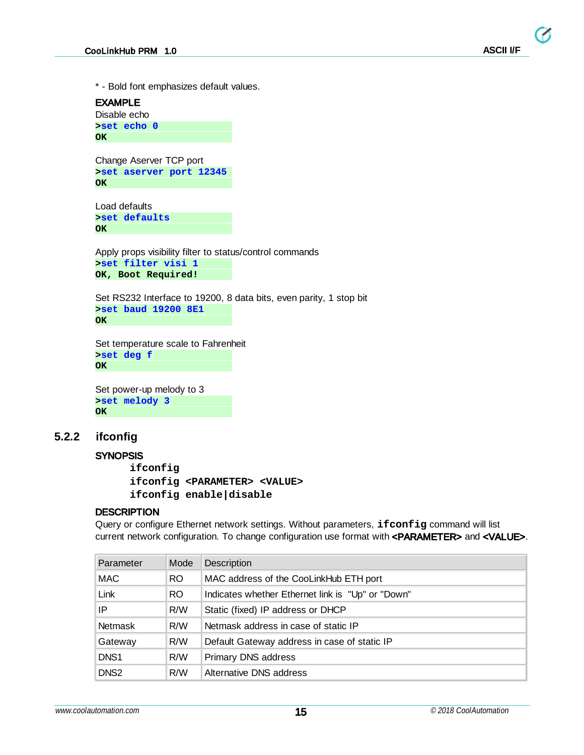\* - Bold font emphasizes default values.

EXAMPLE Disable echo **>set echo 0 OK** Change Aserver TCP port **>set aserver port 12345 OK** Load defaults **>set defaults OK** Apply props visibility filter to status/control commands **>set filter visi 1 OK, Boot Required!** Set RS232 Interface to 19200, 8 data bits, even parity, 1 stop bit **>set baud 19200 8E1 OK**

Set temperature scale to Fahrenheit **>set deg f OK**

Set power-up melody to 3 **>set melody 3 OK**

#### <span id="page-14-0"></span>**5.2.2 ifconfig**

#### **SYNOPSIS**

**ifconfig ifconfig <PARAMETER> <VALUE> ifconfig enable|disable**

#### **DESCRIPTION**

Query or configure Ethernet network settings. Without parameters, **ifconfig** command will list current network configuration. To change configuration use format with <PARAMETER> and <VALUE>.

| Parameter        | Mode | <b>Description</b>                                |
|------------------|------|---------------------------------------------------|
| <b>MAC</b>       | RO.  | MAC address of the CooLinkHub ETH port            |
| Link             | RO.  | Indicates whether Ethernet link is "Up" or "Down" |
| IP               | R/W  | Static (fixed) IP address or DHCP                 |
| <b>Netmask</b>   | R/W  | Netmask address in case of static IP              |
| Gateway          | R/W  | Default Gateway address in case of static IP      |
| DNS <sub>1</sub> | R/W  | <b>Primary DNS address</b>                        |
| DNS <sub>2</sub> | R/W  | Alternative DNS address                           |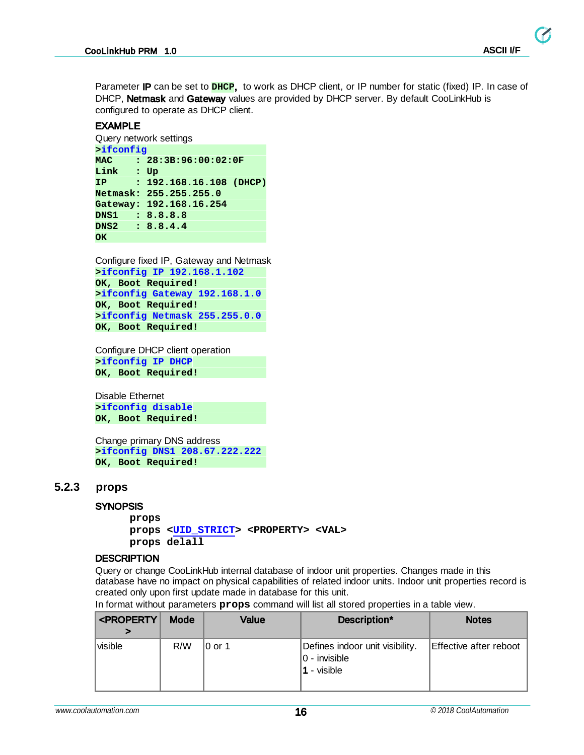$\boldsymbol{G}$ 

Parameter IP can be set to **DHCP**, to work as DHCP client, or IP number for static (fixed) IP. In case of DHCP, Netmask and Gateway values are provided by DHCP server. By default CooLinkHub is configured to operate as DHCP client.

#### EXAMPLE

```
Query network settings
```

```
>ifconfig
MAC : 28:3B:96:00:02:0F
Link : Up
IP : 192.168.16.108 (DHCP)
Netmask: 255.255.255.0
Gateway: 192.168.16.254
DNS1 : 8.8.8.8
DNS2 : 8.8.4.4
OK
```
Configure fixed IP, Gateway and Netmask **>ifconfig IP 192.168.1.102 OK, Boot Required! >ifconfig Gateway 192.168.1.0 OK, Boot Required! >ifconfig Netmask 255.255.0.0 OK, Boot Required!**

Configure DHCP client operation **>ifconfig IP DHCP OK, Boot Required!**

Disable Ethernet **>ifconfig disable OK, Boot Required!**

Change primary DNS address **>ifconfig DNS1 208.67.222.222 OK, Boot Required!**

#### <span id="page-15-0"></span>**5.2.3 props**

#### **SYNOPSIS**

**props props <[UID\\_STRICT>](#page-12-0) <PROPERTY> <VAL> props delall**

#### **DESCRIPTION**

Query or change CooLinkHub internal database of indoor unit properties. Changes made in this database have no impact on physical capabilities of related indoor units. Indoor unit properties record is created only upon first update made in database for this unit.

|  | In format without parameters props command will list all stored properties in a table view. |
|--|---------------------------------------------------------------------------------------------|
|--|---------------------------------------------------------------------------------------------|

| <property< th=""><th>Mode</th><th>Value</th><th>Description*</th><th><b>Notes</b></th></property<> | Mode | Value     | Description*                                                     | <b>Notes</b>           |
|----------------------------------------------------------------------------------------------------|------|-----------|------------------------------------------------------------------|------------------------|
| visible                                                                                            | R/W  | $10$ or 1 | Defines indoor unit visibility.<br>$ 0 -$ invisible<br>- visible | Effective after reboot |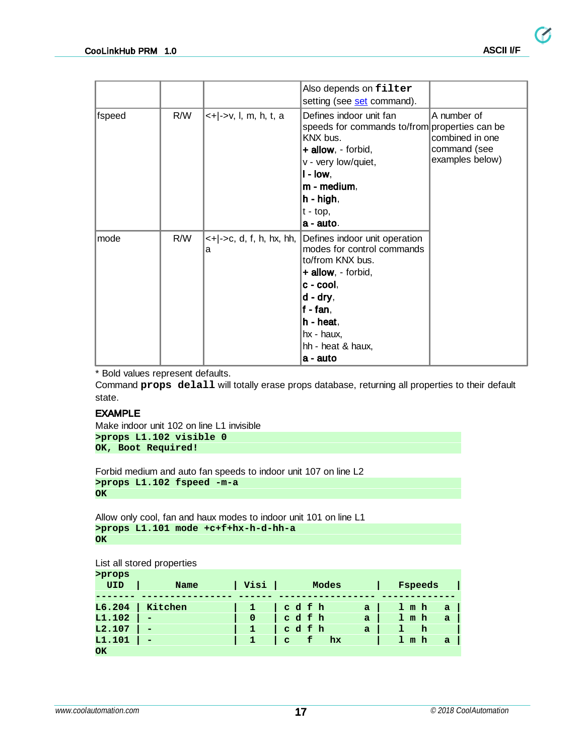|        |     |                                                        | Also depends on filter<br>setting (see set command).                                                                                                                                                             |                                                                   |
|--------|-----|--------------------------------------------------------|------------------------------------------------------------------------------------------------------------------------------------------------------------------------------------------------------------------|-------------------------------------------------------------------|
| fspeed | R/W | <+ ->v, l, m, h, t, a                                  | Defines indoor unit fan<br>speeds for commands to/from properties can be<br>KNX bus.<br>+ allow, - forbid,<br>v - very low/quiet,<br>$I - Iow,$<br>m - medium,<br>$h - high,$<br>$ t - \text{top} $<br>a - auto. | A number of<br>combined in one<br>command (see<br>examples below) |
| mode   | R/W | $\leftarrow$ + $\leftarrow$ ->c, d, f, h, hx, hh,<br>а | Defines indoor unit operation<br>modes for control commands<br>to/from KNX bus.<br>$+$ allow, - forbid,<br>$c - cool$ ,<br>d - dry,<br>$f - fan$ ,<br>h - heat,<br>hx - haux,<br>hh - heat & haux,<br>a - auto   |                                                                   |

\* Bold values represent defaults.

Command **props delall** will totally erase props database, returning all properties to their default state.

#### EXAMPLE

Make indoor unit 102 on line L1 invisible **>props L1.102 visible 0 OK, Boot Required!**

Forbid medium and auto fan speeds to indoor unit 107 on line L2 **>props L1.102 fspeed -m-a OK**

Allow only cool, fan and haux modes to indoor unit 101 on line L1 **>props L1.101 mode +c+f+hx-h-d-hh-a OK**

List all stored properties

| >props |                          |              |                      |              |                       |
|--------|--------------------------|--------------|----------------------|--------------|-----------------------|
| UID    | Name                     | Visi         | Modes                |              | Fspeeds               |
|        |                          |              |                      |              |                       |
| L6.204 | Kitchen                  |              | cdfh                 | a            | 1 m h<br>$\mathbf{a}$ |
| L1.102 | $\overline{\phantom{0}}$ | $\mathbf{0}$ | cdfh                 | $\mathbf{a}$ | $1$ m h<br><b>a</b>   |
| L2.107 | $\overline{\phantom{0}}$ |              | cdfh                 | a            | - h                   |
| L1.101 | -                        | $\mathbf{1}$ | $\mathbf{c}$ f<br>hx |              | $1 \text{ m h}$<br>a, |
| OК     |                          |              |                      |              |                       |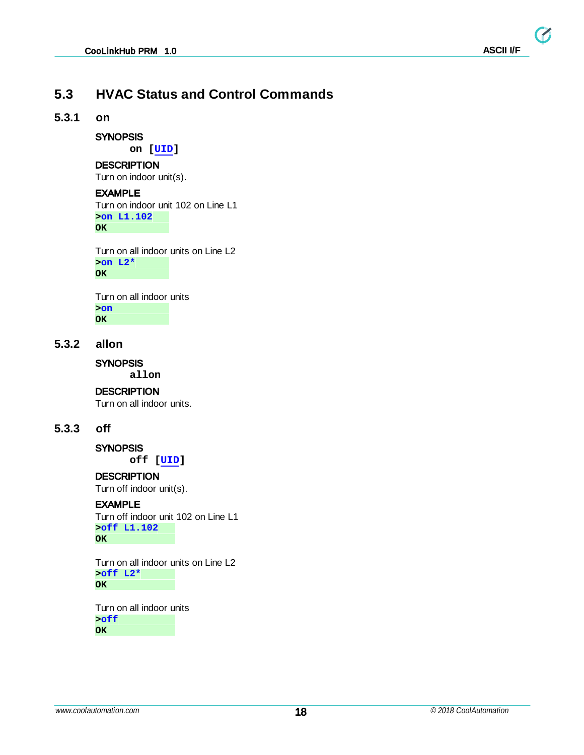### <span id="page-17-0"></span>**5.3 HVAC Status and Control Commands**

#### <span id="page-17-1"></span>**5.3.1 on**

#### **SYNOPSIS**

**on [\[UID\]](#page-12-0)**

#### **DESCRIPTION**

Turn on indoor unit(s).

#### EXAMPLE

Turn on indoor unit 102 on Line L1 **>on L1.102 OK**

Turn on all indoor units on Line L2 **>on L2\* OK**

Turn on all indoor units **>on OK**

#### <span id="page-17-2"></span>**5.3.2 allon**

**SYNOPSIS** 

**allon**

#### **DESCRIPTION**

Turn on all indoor units.

#### <span id="page-17-3"></span>**5.3.3 off**

**SYNOPSIS off [[UID](#page-12-0)]**

#### **DESCRIPTION**

Turn off indoor unit(s).

#### EXAMPLE

Turn off indoor unit 102 on Line L1 **>off L1.102 OK**

Turn on all indoor units on Line L2 **>off L2\* OK**

Turn on all indoor units **>off OK**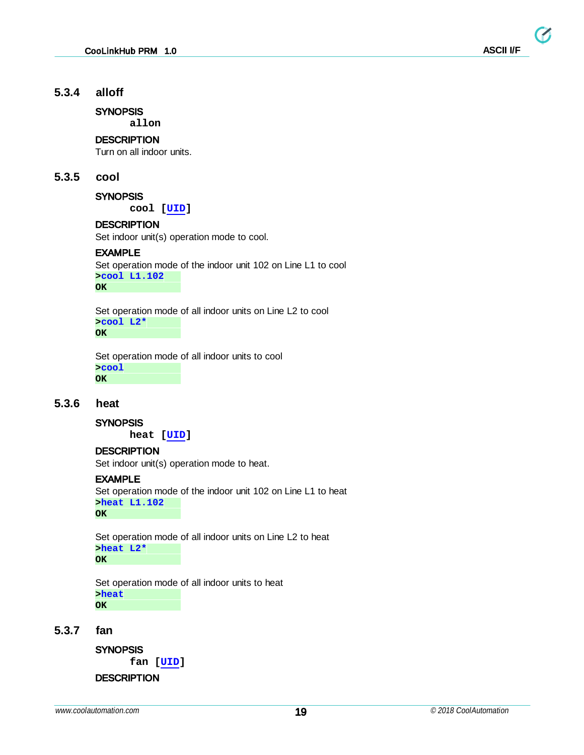#### <span id="page-18-0"></span>**5.3.4 alloff**

**SYNOPSIS** 

**allon**

#### **DESCRIPTION**

Turn on all indoor units.

#### <span id="page-18-1"></span>**5.3.5 cool**

#### **SYNOPSIS**

**cool [\[UID\]](#page-12-0)**

#### **DESCRIPTION**

Set indoor unit(s) operation mode to cool.

#### EXAMPLE

Set operation mode of the indoor unit 102 on Line L1 to cool **>cool L1.102 OK**

Set operation mode of all indoor units on Line L2 to cool **>cool L2\***

**OK**

Set operation mode of all indoor units to cool **>cool OK**

#### <span id="page-18-2"></span>**5.3.6 heat**

#### **SYNOPSIS**

**heat [\[UID\]](#page-12-0)**

#### **DESCRIPTION**

Set indoor unit(s) operation mode to heat.

#### EXAMPLE

Set operation mode of the indoor unit 102 on Line L1 to heat **>heat L1.102 OK**

Set operation mode of all indoor units on Line L2 to heat **>heat L2\* OK**

Set operation mode of all indoor units to heat **>heat OK**

#### <span id="page-18-3"></span>**5.3.7 fan**

**SYNOPSIS** 

**fan [[UID](#page-12-0)]**

**DESCRIPTION**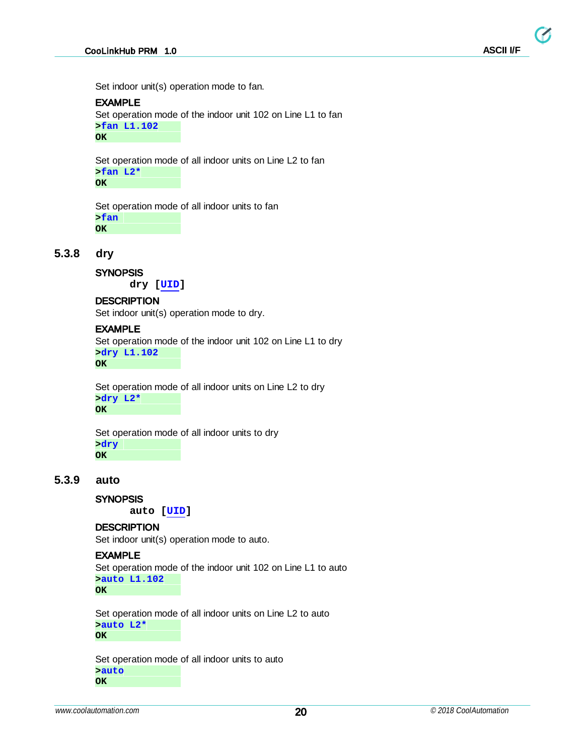Set indoor unit(s) operation mode to fan.

#### EXAMPLE

Set operation mode of the indoor unit 102 on Line L1 to fan **>fan L1.102 OK**

Set operation mode of all indoor units on Line L2 to fan **>fan L2\* OK**

Set operation mode of all indoor units to fan **>fan OK**

#### <span id="page-19-0"></span>**5.3.8 dry**

**SYNOPSIS** 

**dry [[UID](#page-12-0)]**

#### **DESCRIPTION**

Set indoor unit(s) operation mode to dry.

#### EXAMPLE

Set operation mode of the indoor unit 102 on Line L1 to dry **>dry L1.102 OK**

Set operation mode of all indoor units on Line L2 to dry **>dry L2\* OK**

Set operation mode of all indoor units to dry **>dry OK**

#### <span id="page-19-1"></span>**5.3.9 auto**

#### **SYNOPSIS**

**auto [\[UID\]](#page-12-0)**

#### **DESCRIPTION**

Set indoor unit(s) operation mode to auto.

#### EXAMPLE

Set operation mode of the indoor unit 102 on Line L1 to auto **>auto L1.102 OK**

Set operation mode of all indoor units on Line L2 to auto **>auto L2\* OK**

Set operation mode of all indoor units to auto **>auto OK**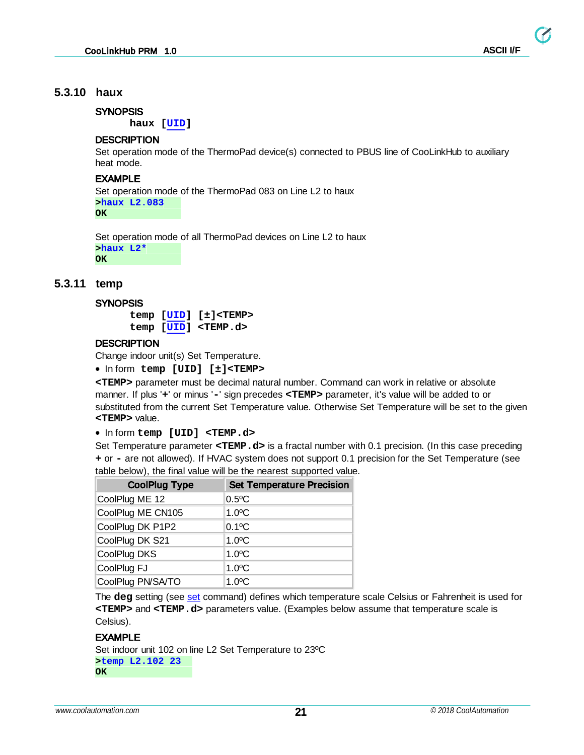#### <span id="page-20-0"></span>**5.3.10 haux**

#### **SYNOPSIS**

**haux [\[UID\]](#page-12-0)**

#### **DESCRIPTION**

Set operation mode of the ThermoPad device(s) connected to PBUS line of CooLinkHub to auxiliary heat mode.

#### EXAMPLE

Set operation mode of the ThermoPad 083 on Line L2 to haux **>haux L2.083 OK**

Set operation mode of all ThermoPad devices on Line L2 to haux **>haux L2\* OK**

#### <span id="page-20-1"></span>**5.3.11 temp**

#### **SYNOPSIS**

**temp [\[UID\]](#page-12-0) [±]<TEMP> temp [\[UID\]](#page-12-0) <TEMP.d>**

#### **DESCRIPTION**

Change indoor unit(s) Set Temperature.

· In form **temp [UID] [±]<TEMP>**

**<TEMP>** parameter must be decimal natural number. Command can work in relative or absolute manner. If plus '**+**' or minus '**-**' sign precedes **<TEMP>** parameter, it's value will be added to or substituted from the current Set Temperature value. Otherwise Set Temperature will be set to the given **<TEMP>** value.

· In form **temp [UID] <TEMP.d>**

Set Temperature parameter **<TEMP.d>** is a fractal number with 0.1 precision. (In this case preceding **+** or **-** are not allowed). If HVAC system does not support 0.1 precision for the Set Temperature (see table below), the final value will be the nearest supported value.

| <b>CoolPlug Type</b> | <b>Set Temperature Precision</b> |
|----------------------|----------------------------------|
| CoolPlug ME 12       | $0.5$ <sup>o</sup> C             |
| CoolPlug ME CN105    | $1.0$ <sup>o</sup> C             |
| CoolPlug DK P1P2     | $0.1$ <sup>o</sup> C             |
| CoolPlug DK S21      | $1.0$ <sup>o</sup> C             |
| CoolPlug DKS         | $1.0$ <sup>o</sup> C             |
| CoolPlug FJ          | $1.0$ <sup>o</sup> C             |
| CoolPlug PN/SA/TO    | $1.0$ <sup>o</sup> C             |

The **deg** setting (see [set](#page-13-0) command) defines which temperature scale Celsius or Fahrenheit is used for **<TEMP>** and **<TEMP.d>** parameters value. (Examples below assume that temperature scale is Celsius).

#### EXAMPLE

Set indoor unit 102 on line L2 Set Temperature to 23ºC **>temp L2.102 23 OK**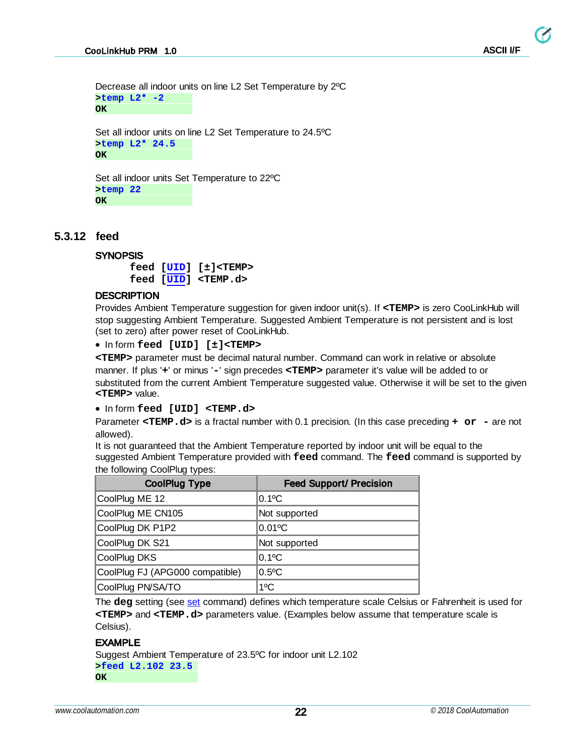Ø

Decrease all indoor units on line L2 Set Temperature by 2ºC **>temp L2\* -2 OK**

Set all indoor units on line L2 Set Temperature to 24.5ºC **>temp L2\* 24.5 OK**

Set all indoor units Set Temperature to 22ºC **>temp 22 OK**

#### <span id="page-21-0"></span>**5.3.12 feed**

#### **SYNOPSIS**

**feed [\[UID\]](#page-12-0) [±]<TEMP> feed [\[UID\]](#page-12-0) <TEMP.d>**

#### **DESCRIPTION**

Provides Ambient Temperature suggestion for given indoor unit(s). If **<TEMP>** is zero CooLinkHub will stop suggesting Ambient Temperature. Suggested Ambient Temperature is not persistent and is lost (set to zero) after power reset of CooLinkHub.

```
· In form feed [UID] [±]<TEMP>
```
**<TEMP>** parameter must be decimal natural number. Command can work in relative or absolute manner. If plus '**+**' or minus '**-**' sign precedes **<TEMP>** parameter it's value will be added to or substituted from the current Ambient Temperature suggested value. Otherwise it will be set to the given **<TEMP>** value.

· In form **feed [UID] <TEMP.d>**

Parameter **<TEMP.d>** is a fractal number with 0.1 precision. (In this case preceding **+ or -** are not allowed).

It is not guaranteed that the Ambient Temperature reported by indoor unit will be equal to the suggested Ambient Temperature provided with **feed** command. The **feed** command is supported by the following CoolPlug types:

| <b>CoolPlug Type</b>            | <b>Feed Support/ Precision</b> |
|---------------------------------|--------------------------------|
| CoolPlug ME 12                  | $0.1$ °C                       |
| CoolPlug ME CN105               | Not supported                  |
| CoolPlug DK P1P2                | $0.01$ °C                      |
| CoolPlug DK S21                 | Not supported                  |
| CoolPlug DKS                    | $0.1$ <sup>o</sup> C           |
| CoolPlug FJ (APG000 compatible) | $0.5$ °C                       |
| CoolPlug PN/SA/TO               | $1^{\circ}$ C                  |

The **deg** setting (see [set](#page-13-0) command) defines which temperature scale Celsius or Fahrenheit is used for **<TEMP>** and **<TEMP.d>** parameters value. (Examples below assume that temperature scale is Celsius).

#### EXAMPLE

Suggest Ambient Temperature of 23.5ºC for indoor unit L2.102 **>feed L2.102 23.5 OK**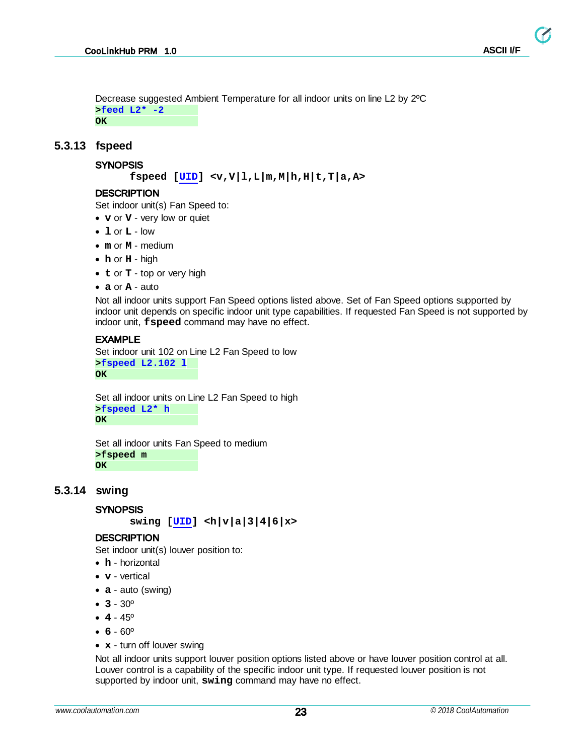Decrease suggested Ambient Temperature for all indoor units on line L2 by 2ºC **>feed L2\* -2 OK**

#### <span id="page-22-0"></span>**5.3.13 fspeed**

#### **SYNOPSIS**

```
fspeed [UID] <v,V|l,L|m,M|h,H|t,T|a,A>
```
#### **DESCRIPTION**

Set indoor unit(s) Fan Speed to:

- · **v** or **V** very low or quiet
- · **l** or **L** low
- · **m** or **M** medium
- · **h** or **H** high
- · **t** or **T** top or very high
- · **a** or **A** auto

Not all indoor units support Fan Speed options listed above. Set of Fan Speed options supported by indoor unit depends on specific indoor unit type capabilities. If requested Fan Speed is not supported by indoor unit, **fspeed** command may have no effect.

#### EXAMPLE

```
Set indoor unit 102 on Line L2 Fan Speed to low
>fspeed L2.102 l
OK
```
Set all indoor units on Line L2 Fan Speed to high **>fspeed L2\* h OK**

Set all indoor units Fan Speed to medium **>fspeed m OK**

#### <span id="page-22-1"></span>**5.3.14 swing**

#### **SYNOPSIS**

**swing [[UID](#page-12-0)] <h|v|a|3|4|6|x>**

#### **DESCRIPTION**

Set indoor unit(s) louver position to:

- · **h** horizontal
- · **v** vertical
- · **a** auto (swing)
- · **3** 30º
- · **4** 45º
- · **6** 60º
- · **x** turn off louver swing

Not all indoor units support louver position options listed above or have louver position control at all. Louver control is a capability of the specific indoor unit type. If requested louver position is not supported by indoor unit, **swing** command may have no effect.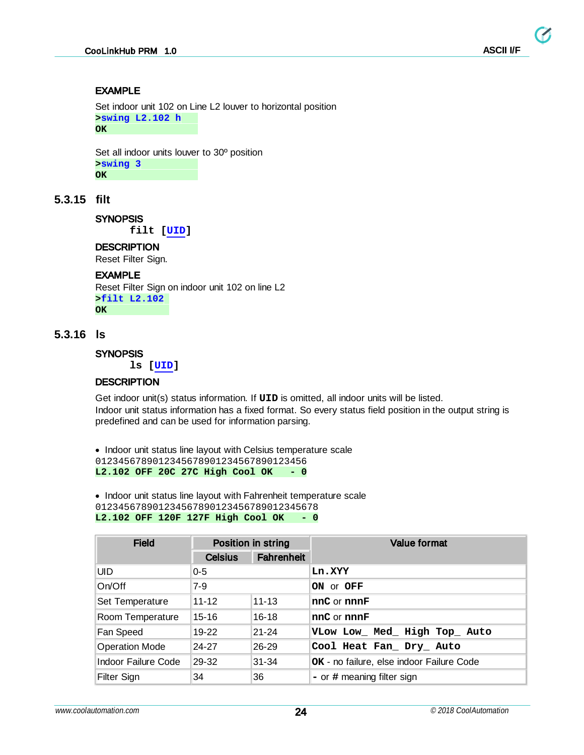#### EXAMPLE

Set indoor unit 102 on Line L2 louver to horizontal position **>swing L2.102 h OK**

Set all indoor units louver to 30º position **>swing 3 OK**

#### <span id="page-23-0"></span>**5.3.15 filt**

**SYNOPSIS** 

**filt [\[UID\]](#page-12-0)**

#### **DESCRIPTION**

Reset Filter Sign.

#### EXAMPLE

Reset Filter Sign on indoor unit 102 on line L2 **>filt L2.102 OK**

#### <span id="page-23-1"></span>**5.3.16 ls**

#### **SYNOPSIS**

**ls [\[UID\]](#page-12-0)**

#### **DESCRIPTION**

Get indoor unit(s) status information. If **UID** is omitted, all indoor units will be listed. Indoor unit status information has a fixed format. So every status field position in the output string is predefined and can be used for information parsing.

· Indoor unit status line layout with Celsius temperature scale 0123456789012345678901234567890123456 **L2.102 OFF 20C 27C High Cool OK - 0**

· Indoor unit status line layout with Fahrenheit temperature scale 012345678901234567890123456789012345678 **L2.102 OFF 120F 127F High Cool OK - 0**

| <b>Field</b>          | Position in string |                   | <b>Value format</b>                       |  |
|-----------------------|--------------------|-------------------|-------------------------------------------|--|
|                       | <b>Celsius</b>     | <b>Fahrenheit</b> |                                           |  |
| UID                   | $0 - 5$            |                   | Ln.XYY                                    |  |
| On/Off                | $7-9$              |                   | ON or OFF                                 |  |
| Set Temperature       | $11 - 12$          | $11 - 13$         | nnC or nnnF                               |  |
| Room Temperature      | 15-16              | $16 - 18$         | nnC or nnnF                               |  |
| Fan Speed             | 19-22              | $21 - 24$         | VLow Low_ Med_ High Top_ Auto             |  |
| <b>Operation Mode</b> | 24-27              | 26-29             | Cool Heat Fan_ Dry_ Auto                  |  |
| Indoor Failure Code   | 29-32              | $31 - 34$         | OK - no failure, else indoor Failure Code |  |
| Filter Sign           | 34                 | 36                | $-$ or $\#$ meaning filter sign           |  |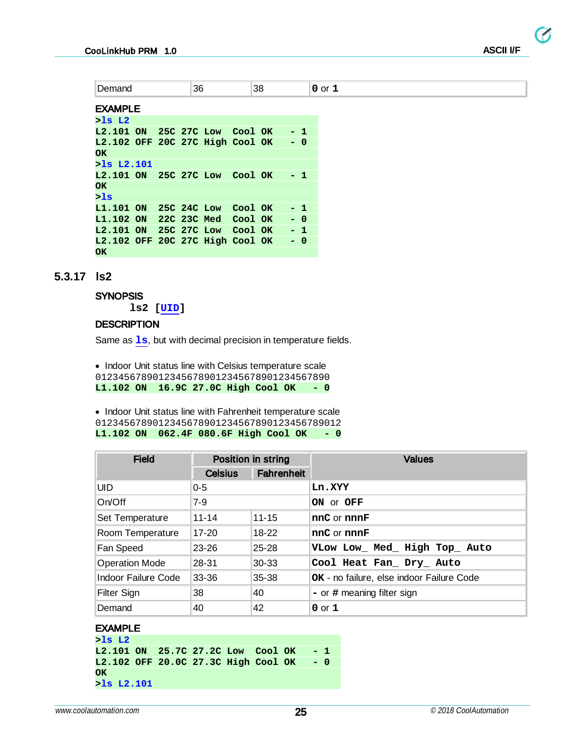EXAMPLE

| $>$ ls L2                             |  |                     |  |       |  |
|---------------------------------------|--|---------------------|--|-------|--|
| L2.101 ON 25C 27C Low Cool OK         |  |                     |  | - 1   |  |
| L2.102 OFF 20C 27C High Cool OK<br>ОΚ |  |                     |  | $- 0$ |  |
| $>$ ls L $2.101$                      |  |                     |  |       |  |
| L2.101 ON 25C 27C Low Cool OK<br>ОK   |  |                     |  | - 1   |  |
| >1s                                   |  |                     |  |       |  |
| L1.101 ON                             |  | 25C 24C Low Cool OK |  | $-1$  |  |
| L1.102 ON 22C 23C Med Cool OK         |  |                     |  | $- 0$ |  |
| L2.101 ON                             |  | 25C 27C Low Cool OK |  | $-1$  |  |
| L2.102 OFF 20C 27C High Cool OK<br>ОΚ |  |                     |  | $- 0$ |  |

#### <span id="page-24-0"></span>**5.3.17 ls2**

#### **SYNOPSIS**

**ls2 [[UID](#page-12-0)]**

#### **DESCRIPTION**

Same as **1s**, but with decimal precision in temperature fields.

· Indoor Unit status line with Celsius temperature scale 01234567890123456789012345678901234567890 **L1.102 ON 16.9C 27.0C High Cool OK - 0**

· Indoor Unit status line with Fahrenheit temperature scale 0123456789012345678901234567890123456789012 **L1.102 ON 062.4F 080.6F High Cool OK - 0**

| <b>Field</b>          | Position in string |                   | <b>Values</b>                             |  |  |
|-----------------------|--------------------|-------------------|-------------------------------------------|--|--|
|                       | <b>Celsius</b>     | <b>Fahrenheit</b> |                                           |  |  |
| UID.                  | $0 - 5$            |                   | Ln.XYY                                    |  |  |
| On/Off                | $7-9$              |                   | ON or OFF                                 |  |  |
| Set Temperature       | $11 - 14$          | $11 - 15$         | nnC or nnnF                               |  |  |
| Room Temperature      | $17-20$            | $18 - 22$         | nnC or nnnF                               |  |  |
| Fan Speed             | $23 - 26$          | $25 - 28$         | VLow Low_ Med_ High Top_ Auto             |  |  |
| <b>Operation Mode</b> | 28-31              | $30 - 33$         | Cool Heat Fan Dry Auto                    |  |  |
| Indoor Failure Code   | 33-36              | $35 - 38$         | OK - no failure, else indoor Failure Code |  |  |
| Filter Sign           | 38                 | 40                | $-$ or $\#$ meaning filter sign           |  |  |
| Demand                | 40                 | 42                | $0$ or $1$                                |  |  |

#### EXAMPLE

**>ls L2 L2.101 ON 25.7C 27.2C Low Cool OK - 1 L2.102 OFF 20.0C 27.3C High Cool OK - 0 OK >ls L2.101**

**ASCII I/F**

Ø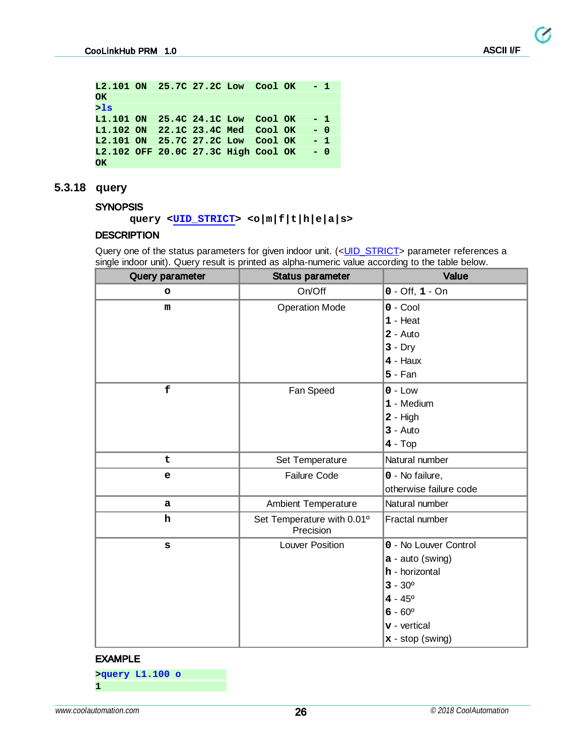$\boldsymbol{G}$ 

```
L2.101 ON 25.7C 27.2C Low Cool OK - 1
OK
>ls
L1.101 ON 25.4C 24.1C Low Cool OK - 1
L1.102 ON 22.1C 23.4C Med Cool OK - 0
L2.101 ON 25.7C 27.2C Low Cool OK - 1
L2.102 OFF 20.0C 27.3C High Cool OK - 0
OK
```
#### <span id="page-25-0"></span>**5.3.18 query**

#### **SYNOPSIS**

#### **query <[UID\\_STRICT>](#page-12-0) <o|m|f|t|h|e|a|s>**

#### **DESCRIPTION**

Query one of the status parameters for given indoor unit. (<UID\_STRICT> parameter references a single indoor unit). Query result is printed as alpha-numeric value according to the table below.

| Query parameter | <b>Status parameter</b>                 | Value                  |
|-----------------|-----------------------------------------|------------------------|
| o               | On/Off                                  | $0 - Off, 1 - On$      |
| ${\bf m}$       | <b>Operation Mode</b>                   | $0 - Cool$             |
|                 |                                         | $1 -$ Heat             |
|                 |                                         | $2 - Auto$             |
|                 |                                         | $3 - Dry$              |
|                 |                                         | $4 -$ Haux             |
|                 |                                         | $5 - Fan$              |
| f               | Fan Speed                               | $0 - Low$              |
|                 |                                         | 1 - Medium             |
|                 |                                         | $2 - High$             |
|                 |                                         | $3 - Auto$             |
|                 |                                         | $4 - Top$              |
| t               | Set Temperature                         | Natural number         |
| $\mathbf e$     | <b>Failure Code</b>                     | 0 - No failure,        |
|                 |                                         | otherwise failure code |
| a               | Ambient Temperature                     | Natural number         |
| ${\bf h}$       | Set Temperature with 0.01°<br>Precision | Fractal number         |
| S               | <b>Louver Position</b>                  | 0 - No Louver Control  |
|                 |                                         | $a - auto$ (swing)     |
|                 |                                         | h - horizontal         |
|                 |                                         | $3 - 30^{\circ}$       |
|                 |                                         | $4 - 45^{\circ}$       |
|                 |                                         | $6 - 60^{\circ}$       |
|                 |                                         | $v$ - vertical         |
|                 |                                         | $x - stop$ (swing)     |

#### EXAMPLE

**>query L1.100 o 1**